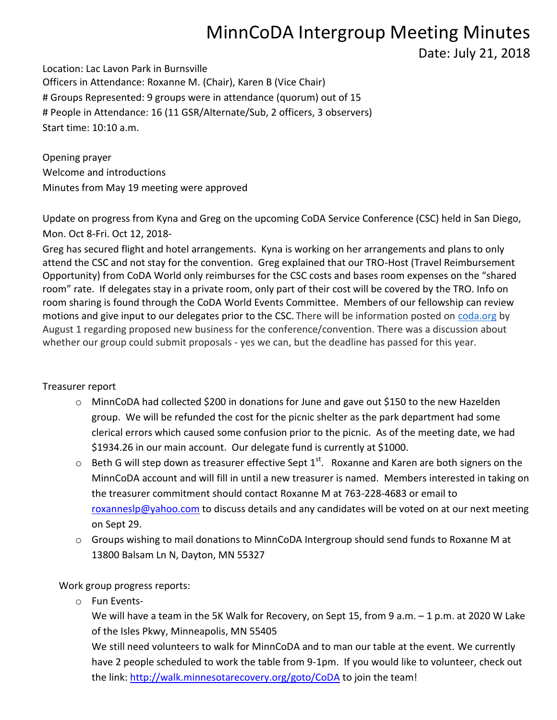## MinnCoDA Intergroup Meeting Minutes

Date: July 21, 2018

Location: Lac Lavon Park in Burnsville Officers in Attendance: Roxanne M. (Chair), Karen B (Vice Chair) # Groups Represented: 9 groups were in attendance (quorum) out of 15 # People in Attendance: 16 (11 GSR/Alternate/Sub, 2 officers, 3 observers) Start time: 10:10 a.m.

Opening prayer Welcome and introductions Minutes from May 19 meeting were approved

Update on progress from Kyna and Greg on the upcoming CoDA Service Conference (CSC) held in San Diego, Mon. Oct 8-Fri. Oct 12, 2018-

Greg has secured flight and hotel arrangements. Kyna is working on her arrangements and plans to only attend the CSC and not stay for the convention. Greg explained that our TRO-Host (Travel Reimbursement Opportunity) from CoDA World only reimburses for the CSC costs and bases room expenses on the "shared room" rate. If delegates stay in a private room, only part of their cost will be covered by the TRO. Info on room sharing is found through the CoDA World Events Committee. Members of our fellowship can review motions and give input to our delegates prior to the CSC. There will be information posted on [coda.org](http://coda.org/) by August 1 regarding proposed new business for the conference/convention. There was a discussion about whether our group could submit proposals - yes we can, but the deadline has passed for this year.

## Treasurer report

- o MinnCoDA had collected \$200 in donations for June and gave out \$150 to the new Hazelden group. We will be refunded the cost for the picnic shelter as the park department had some clerical errors which caused some confusion prior to the picnic. As of the meeting date, we had \$1934.26 in our main account. Our delegate fund is currently at \$1000.
- $\circ$  Beth G will step down as treasurer effective Sept 1<sup>st</sup>. Roxanne and Karen are both signers on the MinnCoDA account and will fill in until a new treasurer is named. Members interested in taking on the treasurer commitment should contact Roxanne M at 763-228-4683 or email to [roxanneslp@yahoo.com](mailto:roxanneslp@yahoo.com) to discuss details and any candidates will be voted on at our next meeting on Sept 29.
- $\circ$  Groups wishing to mail donations to MinnCoDA Intergroup should send funds to Roxanne M at 13800 Balsam Ln N, Dayton, MN 55327

Work group progress reports:

o Fun Events-

We will have a team in the 5K Walk for Recovery, on Sept 15, from 9 a.m. – 1 p.m. at 2020 W Lake of the Isles Pkwy, Minneapolis, MN 55405

We still need volunteers to walk for MinnCoDA and to man our table at the event. We currently have 2 people scheduled to work the table from 9-1pm. If you would like to volunteer, check out the link:<http://walk.minnesotarecovery.org/goto/CoDA> to join the team!